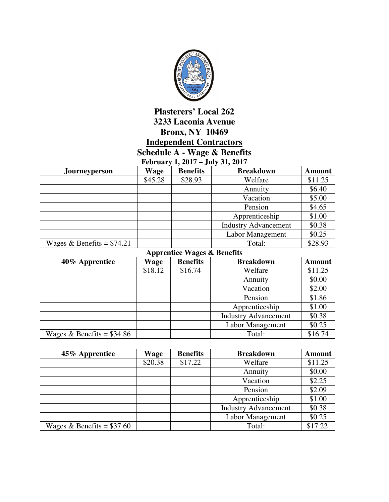

## **Plasterers' Local 262 3233 Laconia Avenue Bronx, NY 10469 Independent Contractors Schedule A - Wage & Benefits**

**February 1, 2017 – July 31, 2017** 

| <b>Journeyperson</b>        | Wage    | <b>Benefits</b> | <b>Breakdown</b>            | <b>Amount</b> |
|-----------------------------|---------|-----------------|-----------------------------|---------------|
|                             | \$45.28 | \$28.93         | Welfare                     | \$11.25       |
|                             |         |                 | Annuity                     | \$6.40        |
|                             |         |                 | Vacation                    | \$5.00        |
|                             |         |                 | Pension                     | \$4.65        |
|                             |         |                 | Apprenticeship              | \$1.00        |
|                             |         |                 | <b>Industry Advancement</b> | \$0.38        |
|                             |         |                 | Labor Management            | \$0.25        |
| Wages & Benefits = $$74.21$ |         |                 | Total:                      | \$28.93       |

## **Apprentice Wages & Benefits**

| 40% Apprentice              | Wage    | <b>Benefits</b> | <b>Breakdown</b>            | <b>Amount</b> |
|-----------------------------|---------|-----------------|-----------------------------|---------------|
|                             | \$18.12 | \$16.74         | Welfare                     | \$11.25       |
|                             |         |                 | Annuity                     | \$0.00        |
|                             |         |                 | Vacation                    | \$2.00        |
|                             |         |                 | Pension                     | \$1.86        |
|                             |         |                 | Apprenticeship              | \$1.00        |
|                             |         |                 | <b>Industry Advancement</b> | \$0.38        |
|                             |         |                 | Labor Management            | \$0.25        |
| Wages & Benefits = $$34.86$ |         |                 | Total:                      | \$16.74       |

| 45% Apprentice              | Wage    | <b>Benefits</b> | <b>Breakdown</b>            | <b>Amount</b> |
|-----------------------------|---------|-----------------|-----------------------------|---------------|
|                             | \$20.38 | \$17.22         | Welfare                     | \$11.25       |
|                             |         |                 | Annuity                     | \$0.00        |
|                             |         |                 | Vacation                    | \$2.25        |
|                             |         |                 | Pension                     | \$2.09        |
|                             |         |                 | Apprenticeship              | \$1.00        |
|                             |         |                 | <b>Industry Advancement</b> | \$0.38        |
|                             |         |                 | Labor Management            | \$0.25        |
| Wages & Benefits = $$37.60$ |         |                 | Total:                      | \$17.22       |